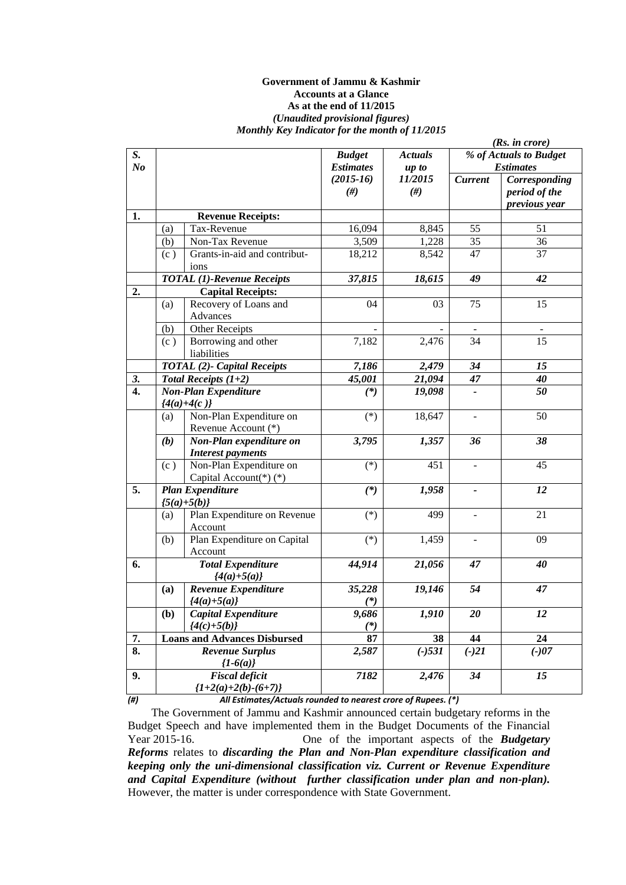#### **Government of Jammu & Kashmir Accounts at a Glance As at the end of 11/2015**  *(Unaudited provisional figures) Monthly Key Indicator for the month of 11/2015*

|                  |     |                                                               |                  |                | (Rs. in <i>core</i> )        |                  |  |  |
|------------------|-----|---------------------------------------------------------------|------------------|----------------|------------------------------|------------------|--|--|
| S.               |     |                                                               | <b>Budget</b>    | <b>Actuals</b> | % of Actuals to Budget       |                  |  |  |
| N <sub>o</sub>   |     |                                                               | <b>Estimates</b> | up to          |                              | <b>Estimates</b> |  |  |
|                  |     |                                                               | $(2015-16)$      | 11/2015        | <b>Current</b>               | Corresponding    |  |  |
|                  |     |                                                               | $(\#)$           | #)             |                              | period of the    |  |  |
|                  |     |                                                               |                  |                |                              | previous year    |  |  |
| 1.               |     | <b>Revenue Receipts:</b>                                      |                  |                |                              |                  |  |  |
|                  | (a) | Tax-Revenue                                                   | 16,094           | 8,845          | 55                           | 51               |  |  |
|                  | (b) | Non-Tax Revenue                                               | 3,509            | 1,228          | 35                           | 36               |  |  |
|                  | (c) | Grants-in-aid and contribut-<br>ions                          | 18,212           | 8,542          | 47                           | 37               |  |  |
|                  |     | <b>TOTAL</b> (1)-Revenue Receipts                             | 37,815           | 18,615         | 49                           | 42               |  |  |
| 2.               |     | <b>Capital Receipts:</b>                                      |                  |                |                              |                  |  |  |
|                  | (a) | Recovery of Loans and<br>Advances                             | 04               | 03             | 75                           | 15               |  |  |
|                  | (b) | <b>Other Receipts</b>                                         |                  |                | $\overline{\phantom{a}}$     |                  |  |  |
|                  | (c) | Borrowing and other<br>liabilities                            | 7,182            | 2,476          | 34                           | 15               |  |  |
|                  |     | <b>TOTAL (2)- Capital Receipts</b>                            | 7,186            | 2,479          | 34                           | 15               |  |  |
| 3.               |     | Total Receipts $(1+2)$                                        | 45,001           | 21,094         | 47                           | 40               |  |  |
| $\overline{4}$ . |     | <b>Non-Plan Expenditure</b>                                   | $(*)$            | 19,098         | $\qquad \qquad \blacksquare$ | 50               |  |  |
|                  |     | ${4(a)+4(c)}$                                                 |                  |                |                              |                  |  |  |
|                  | (a) | Non-Plan Expenditure on<br>Revenue Account (*)                | $(*)$            | 18,647         | $\blacksquare$               | 50               |  |  |
|                  | (b) | Non-Plan expenditure on                                       | 3,795            | 1,357          | 36                           | 38               |  |  |
|                  |     | <b>Interest payments</b>                                      |                  |                |                              |                  |  |  |
|                  | (c) | Non-Plan Expenditure on                                       | $(*)$            | 451            |                              | 45               |  |  |
|                  |     | Capital Account(*)(*)                                         |                  |                |                              |                  |  |  |
| 5.               |     | <b>Plan Expenditure</b>                                       | $(*)$            | 1,958          |                              | 12               |  |  |
|                  |     | ${5(a)+5(b)}$                                                 |                  |                |                              |                  |  |  |
|                  | (a) | Plan Expenditure on Revenue<br>Account                        | $(*)$            | 499            | $\blacksquare$               | 21               |  |  |
|                  | (b) | Plan Expenditure on Capital<br>Account                        | $(*)$            | 1,459          | $\blacksquare$               | 09               |  |  |
| 6.               |     | <b>Total Expenditure</b>                                      | 44,914           | 21,056         | 47                           | 40               |  |  |
|                  |     | $\{4(a)+5(a)\}$                                               |                  |                |                              |                  |  |  |
|                  | (a) | Revenue Expenditure                                           | 35,228           | 19,146         | 54                           | 47               |  |  |
|                  |     | ${4(a)+5(a)}$                                                 | $(*)$            |                |                              |                  |  |  |
|                  | (b) | Capital Expenditure                                           | 9,686            | 1,910          | 20                           | 12               |  |  |
|                  |     | ${4(c)+5(b)}$                                                 | $(*)$            |                |                              |                  |  |  |
| 7.               |     | <b>Loans and Advances Disbursed</b>                           | 87               | 38             | 44                           | 24               |  |  |
| 8.               |     | <b>Revenue Surplus</b>                                        | 2,587            | $(-)$ 531      | $(-)21$                      | $(-)07$          |  |  |
|                  |     | ${1-6(a)}$                                                    |                  |                |                              |                  |  |  |
| 9.               |     | <b>Fiscal deficit</b>                                         | 7182             | 2,476          | 34                           | 15               |  |  |
|                  |     | ${1+2(a)+2(b)-(6+7)}$                                         |                  |                |                              |                  |  |  |
| (#)              |     | All Estimates/Actuals rounded to nearest crore of Rupees. (*) |                  |                |                              |                  |  |  |

The Government of Jammu and Kashmir announced certain budgetary reforms in the Budget Speech and have implemented them in the Budget Documents of the Financial

Year 2015-16. One of the important aspects of the *Budgetary Reforms* relates to *discarding the Plan and Non-Plan expenditure classification and keeping only the uni-dimensional classification viz. Current or Revenue Expenditure and Capital Expenditure (without further classification under plan and non-plan).*  However, the matter is under correspondence with State Government.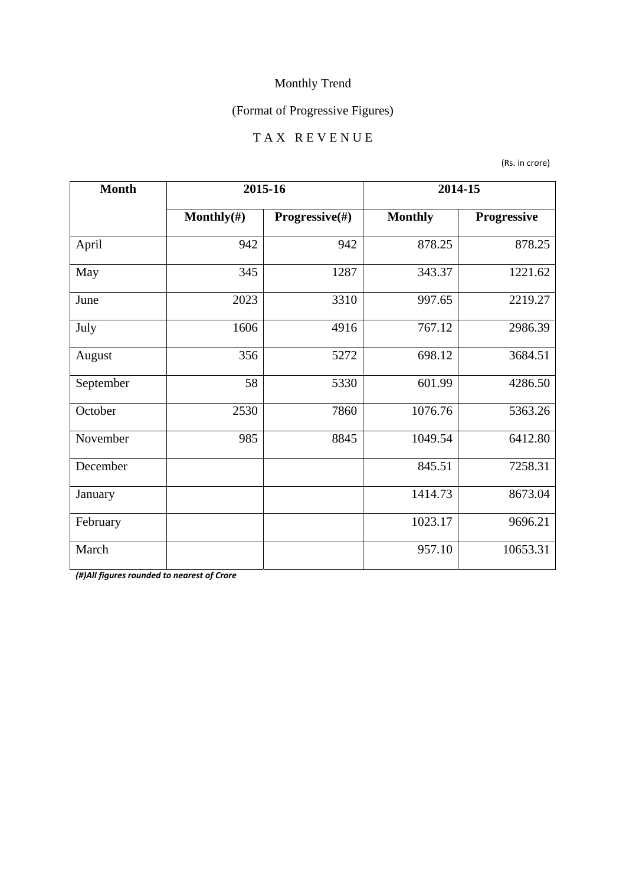## (Format of Progressive Figures)

#### T A X R E V E N U E

(Rs. in crore)

| <b>Month</b> | 2015-16        |                | 2014-15        |             |
|--------------|----------------|----------------|----------------|-------------|
|              | Monthly $(\#)$ | Progressive(#) | <b>Monthly</b> | Progressive |
| April        | 942            | 942            | 878.25         | 878.25      |
| May          | 345            | 1287           | 343.37         | 1221.62     |
| June         | 2023           | 3310           | 997.65         | 2219.27     |
| July         | 1606           | 4916           | 767.12         | 2986.39     |
| August       | 356            | 5272           | 698.12         | 3684.51     |
| September    | 58             | 5330           | 601.99         | 4286.50     |
| October      | 2530           | 7860           | 1076.76        | 5363.26     |
| November     | 985            | 8845           | 1049.54        | 6412.80     |
| December     |                |                | 845.51         | 7258.31     |
| January      |                |                | 1414.73        | 8673.04     |
| February     |                |                | 1023.17        | 9696.21     |
| March        |                |                | 957.10         | 10653.31    |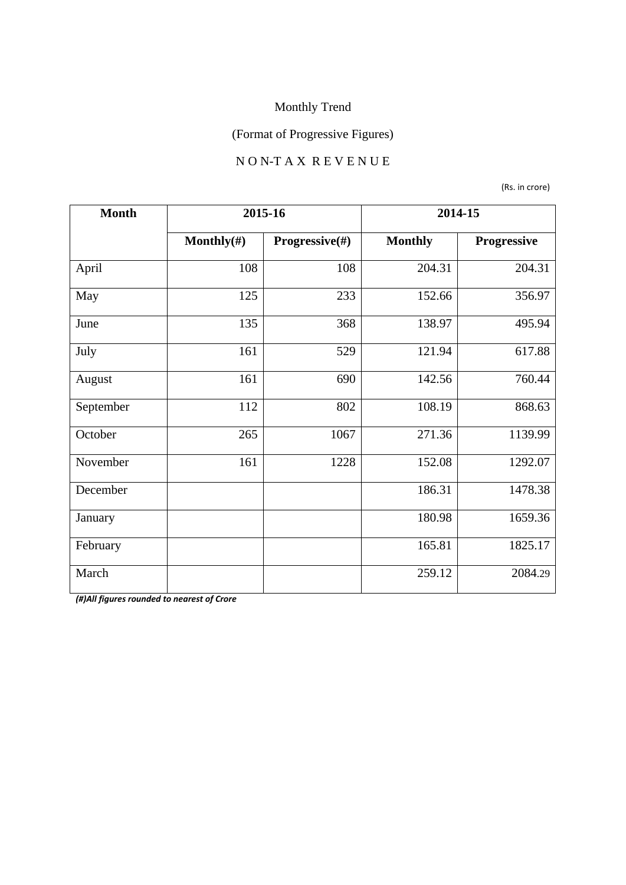## (Format of Progressive Figures)

#### N O N-T A X R E V E N U E

(Rs. in crore)

| <b>Month</b> |                | 2015-16        |                | 2014-15            |
|--------------|----------------|----------------|----------------|--------------------|
|              | Monthly $(\#)$ | Progressive(#) | <b>Monthly</b> | <b>Progressive</b> |
| April        | 108            | 108            | 204.31         | 204.31             |
| May          | 125            | 233            | 152.66         | 356.97             |
| June         | 135            | 368            | 138.97         | 495.94             |
| July         | 161            | 529            | 121.94         | 617.88             |
| August       | 161            | 690            | 142.56         | 760.44             |
| September    | 112            | 802            | 108.19         | 868.63             |
| October      | 265            | 1067           | 271.36         | 1139.99            |
| November     | 161            | 1228           | 152.08         | 1292.07            |
| December     |                |                | 186.31         | 1478.38            |
| January      |                |                | 180.98         | 1659.36            |
| February     |                |                | 165.81         | 1825.17            |
| March        |                |                | 259.12         | 2084.29            |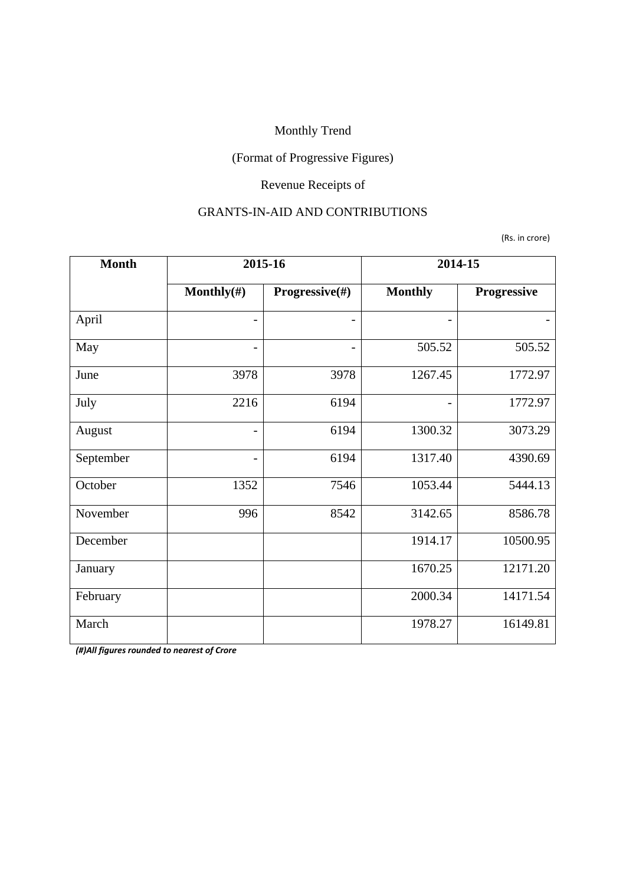## (Format of Progressive Figures)

## Revenue Receipts of

#### GRANTS-IN-AID AND CONTRIBUTIONS

(Rs. in crore)

| <b>Month</b> | 2015-16                  |                | 2014-15                  |             |
|--------------|--------------------------|----------------|--------------------------|-------------|
|              | Monthly $(\#)$           | Progressive(#) | <b>Monthly</b>           | Progressive |
| April        | -                        |                | $\overline{\phantom{0}}$ |             |
| May          | $\qquad \qquad$          | -              | 505.52                   | 505.52      |
| June         | 3978                     | 3978           | 1267.45                  | 1772.97     |
| July         | 2216                     | 6194           | $\qquad \qquad -$        | 1772.97     |
| August       | $\overline{\phantom{0}}$ | 6194           | 1300.32                  | 3073.29     |
| September    | -                        | 6194           | 1317.40                  | 4390.69     |
| October      | 1352                     | 7546           | 1053.44                  | 5444.13     |
| November     | 996                      | 8542           | 3142.65                  | 8586.78     |
| December     |                          |                | 1914.17                  | 10500.95    |
| January      |                          |                | 1670.25                  | 12171.20    |
| February     |                          |                | 2000.34                  | 14171.54    |
| March        |                          |                | 1978.27                  | 16149.81    |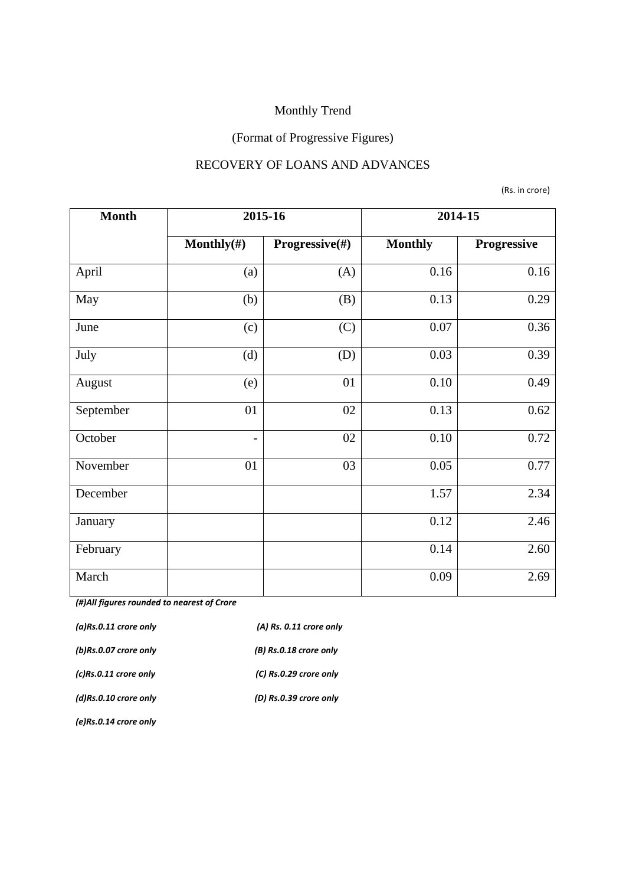## (Format of Progressive Figures)

#### RECOVERY OF LOANS AND ADVANCES

(Rs. in crore)

| <b>Month</b> | 2015-16                  |                | 2014-15        |             |
|--------------|--------------------------|----------------|----------------|-------------|
|              | Monthly $(\#)$           | Progressive(#) | <b>Monthly</b> | Progressive |
| April        | (a)                      | (A)            | 0.16           | 0.16        |
| May          | (b)                      | (B)            | 0.13           | 0.29        |
| June         | (c)                      | (C)            | 0.07           | 0.36        |
| July         | (d)                      | (D)            | 0.03           | 0.39        |
| August       | (e)                      | 01             | 0.10           | 0.49        |
| September    | 01                       | 02             | 0.13           | 0.62        |
| October      | $\overline{\phantom{a}}$ | 02             | 0.10           | 0.72        |
| November     | 01                       | 03             | 0.05           | 0.77        |
| December     |                          |                | 1.57           | 2.34        |
| January      |                          |                | 0.12           | 2.46        |
| February     |                          |                | 0.14           | 2.60        |
| March        |                          |                | 0.09           | 2.69        |

*(#)All figures rounded to nearest of Crore* 

| $(a)$ Rs.0.11 crore only | $(A)$ Rs. 0.11 crore only |
|--------------------------|---------------------------|
| (b)Rs.0.07 crore only    | (B) Rs.0.18 crore only    |
| $(c)$ Rs.0.11 crore only | (C) Rs.0.29 crore only    |
| $(d)$ Rs.0.10 crore only | (D) Rs.0.39 crore only    |
|                          |                           |

*(e)Rs.0.14 crore only*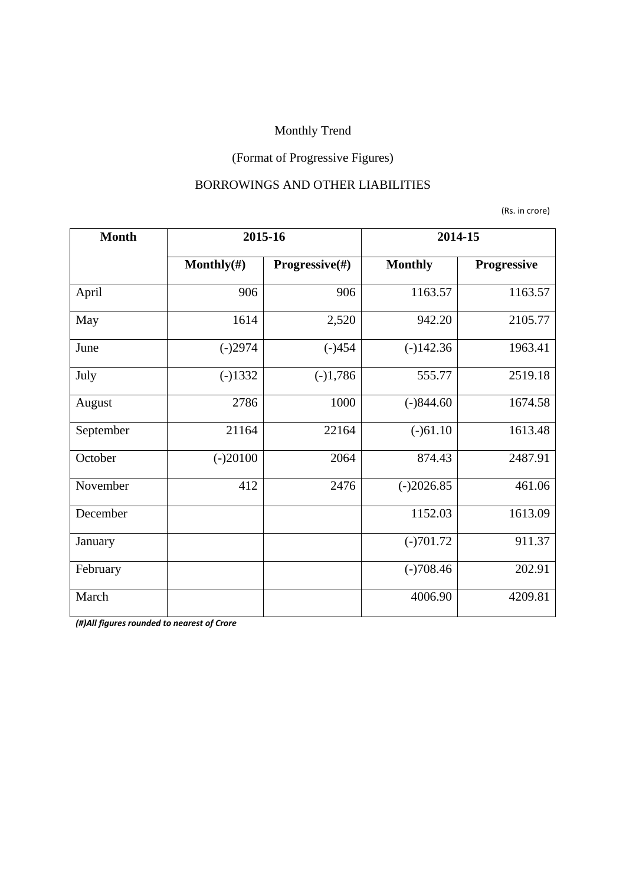## (Format of Progressive Figures)

#### BORROWINGS AND OTHER LIABILITIES

(Rs. in crore)

| <b>Month</b> | 2015-16        |                | 2014-15        |             |
|--------------|----------------|----------------|----------------|-------------|
|              | Monthly $(\#)$ | Progressive(#) | <b>Monthly</b> | Progressive |
| April        | 906            | 906            | 1163.57        | 1163.57     |
| May          | 1614           | 2,520          | 942.20         | 2105.77     |
| June         | $(-)2974$      | $(-)454$       | $(-)142.36$    | 1963.41     |
| July         | $(-)1332$      | $(-)1,786$     | 555.77         | 2519.18     |
| August       | 2786           | 1000           | $(-)844.60$    | 1674.58     |
| September    | 21164          | 22164          | $(-)61.10$     | 1613.48     |
| October      | $(-)20100$     | 2064           | 874.43         | 2487.91     |
| November     | 412            | 2476           | $(-)2026.85$   | 461.06      |
| December     |                |                | 1152.03        | 1613.09     |
| January      |                |                | $(-)701.72$    | 911.37      |
| February     |                |                | $(-)708.46$    | 202.91      |
| March        |                |                | 4006.90        | 4209.81     |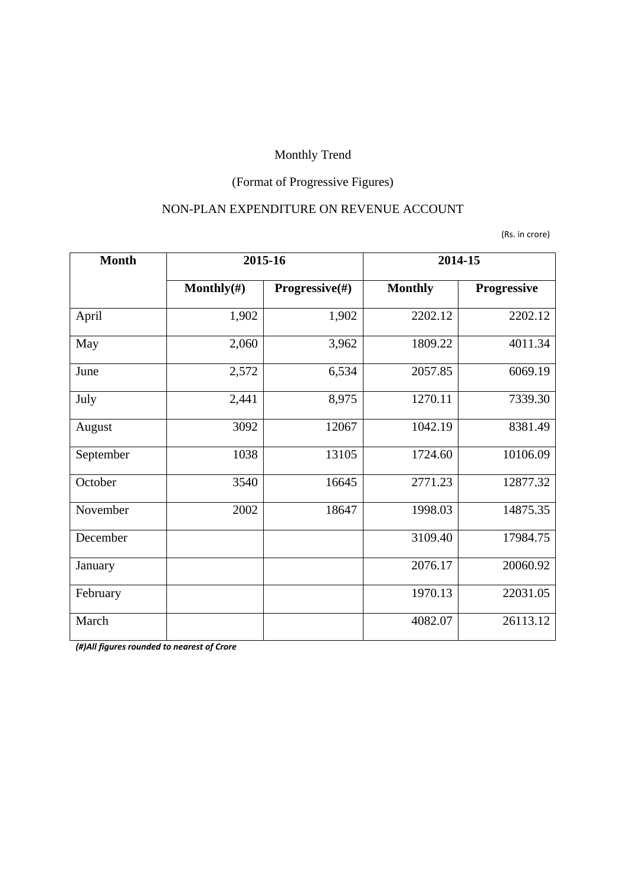## (Format of Progressive Figures)

#### NON-PLAN EXPENDITURE ON REVENUE ACCOUNT

(Rs. in crore)

| <b>Month</b> | 2015-16        |                | 2014-15        |             |
|--------------|----------------|----------------|----------------|-------------|
|              | Monthly $(\#)$ | Progressive(#) | <b>Monthly</b> | Progressive |
| April        | 1,902          | 1,902          | 2202.12        | 2202.12     |
| May          | 2,060          | 3,962          | 1809.22        | 4011.34     |
| June         | 2,572          | 6,534          | 2057.85        | 6069.19     |
| July         | 2,441          | 8,975          | 1270.11        | 7339.30     |
| August       | 3092           | 12067          | 1042.19        | 8381.49     |
| September    | 1038           | 13105          | 1724.60        | 10106.09    |
| October      | 3540           | 16645          | 2771.23        | 12877.32    |
| November     | 2002           | 18647          | 1998.03        | 14875.35    |
| December     |                |                | 3109.40        | 17984.75    |
| January      |                |                | 2076.17        | 20060.92    |
| February     |                |                | 1970.13        | 22031.05    |
| March        |                |                | 4082.07        | 26113.12    |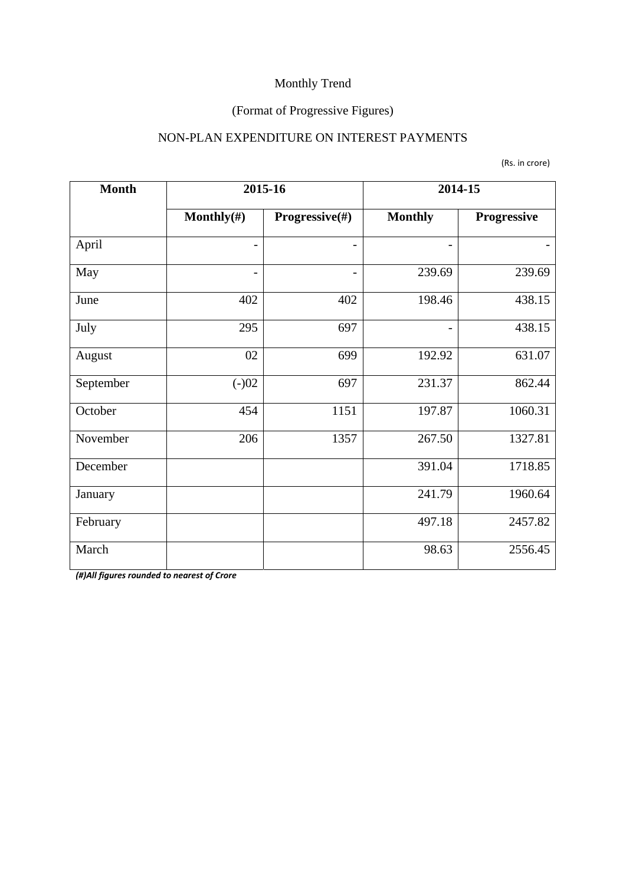## (Format of Progressive Figures)

#### NON-PLAN EXPENDITURE ON INTEREST PAYMENTS

(Rs. in crore)

| <b>Month</b> | 2015-16                  |                           | 2014-15                  |             |
|--------------|--------------------------|---------------------------|--------------------------|-------------|
|              | Monthly $(\#)$           | <b>Progressive</b> $(\#)$ | <b>Monthly</b>           | Progressive |
| April        |                          |                           |                          |             |
| May          | $\overline{\phantom{a}}$ |                           | 239.69                   | 239.69      |
| June         | 402                      | 402                       | 198.46                   | 438.15      |
| July         | 295                      | 697                       | $\overline{\phantom{0}}$ | 438.15      |
| August       | 02                       | 699                       | 192.92                   | 631.07      |
| September    | $(-)02$                  | 697                       | 231.37                   | 862.44      |
| October      | 454                      | 1151                      | 197.87                   | 1060.31     |
| November     | 206                      | 1357                      | 267.50                   | 1327.81     |
| December     |                          |                           | 391.04                   | 1718.85     |
| January      |                          |                           | 241.79                   | 1960.64     |
| February     |                          |                           | 497.18                   | 2457.82     |
| March        |                          |                           | 98.63                    | 2556.45     |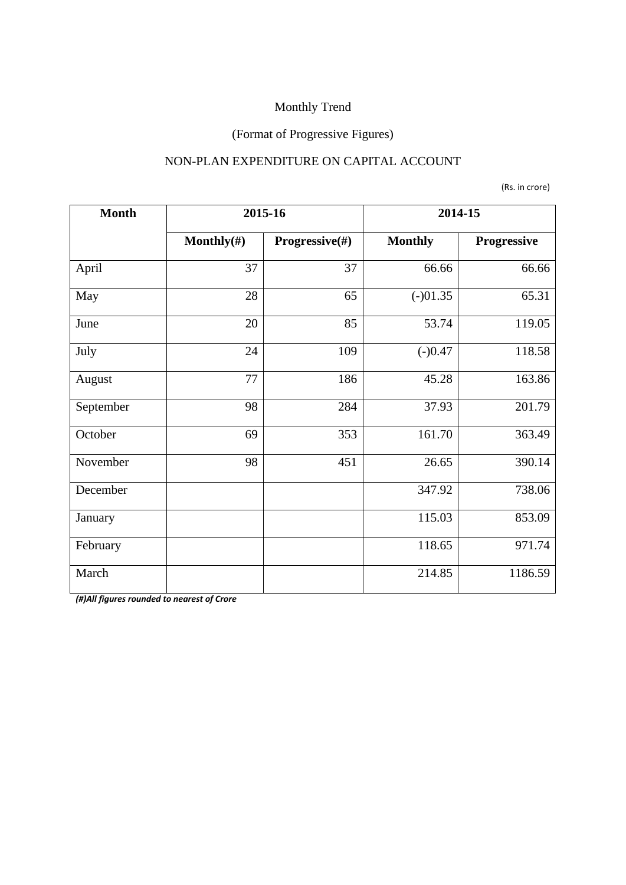#### (Format of Progressive Figures)

#### NON-PLAN EXPENDITURE ON CAPITAL ACCOUNT

(Rs. in crore)

| <b>Month</b> | 2015-16        |                | 2014-15        |             |
|--------------|----------------|----------------|----------------|-------------|
|              | Monthly $(\#)$ | Progressive(#) | <b>Monthly</b> | Progressive |
| April        | 37             | 37             | 66.66          | 66.66       |
| May          | 28             | 65             | $(-)01.35$     | 65.31       |
| June         | 20             | 85             | 53.74          | 119.05      |
| July         | 24             | 109            | $(-)0.47$      | 118.58      |
| August       | 77             | 186            | 45.28          | 163.86      |
| September    | 98             | 284            | 37.93          | 201.79      |
| October      | 69             | 353            | 161.70         | 363.49      |
| November     | 98             | 451            | 26.65          | 390.14      |
| December     |                |                | 347.92         | 738.06      |
| January      |                |                | 115.03         | 853.09      |
| February     |                |                | 118.65         | 971.74      |
| March        |                |                | 214.85         | 1186.59     |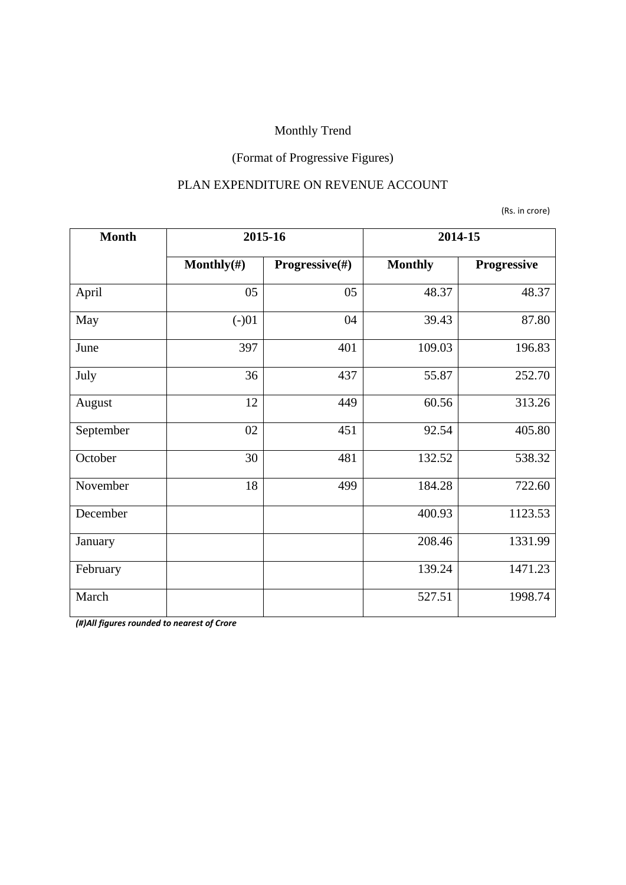## (Format of Progressive Figures)

#### PLAN EXPENDITURE ON REVENUE ACCOUNT

(Rs. in crore)

| <b>Month</b> | 2015-16        |                | 2014-15        |             |
|--------------|----------------|----------------|----------------|-------------|
|              | Monthly $(\#)$ | Progressive(#) | <b>Monthly</b> | Progressive |
| April        | 05             | 05             | 48.37          | 48.37       |
| May          | $(-)01$        | 04             | 39.43          | 87.80       |
| June         | 397            | 401            | 109.03         | 196.83      |
| July         | 36             | 437            | 55.87          | 252.70      |
| August       | 12             | 449            | 60.56          | 313.26      |
| September    | 02             | 451            | 92.54          | 405.80      |
| October      | 30             | 481            | 132.52         | 538.32      |
| November     | 18             | 499            | 184.28         | 722.60      |
| December     |                |                | 400.93         | 1123.53     |
| January      |                |                | 208.46         | 1331.99     |
| February     |                |                | 139.24         | 1471.23     |
| March        |                |                | 527.51         | 1998.74     |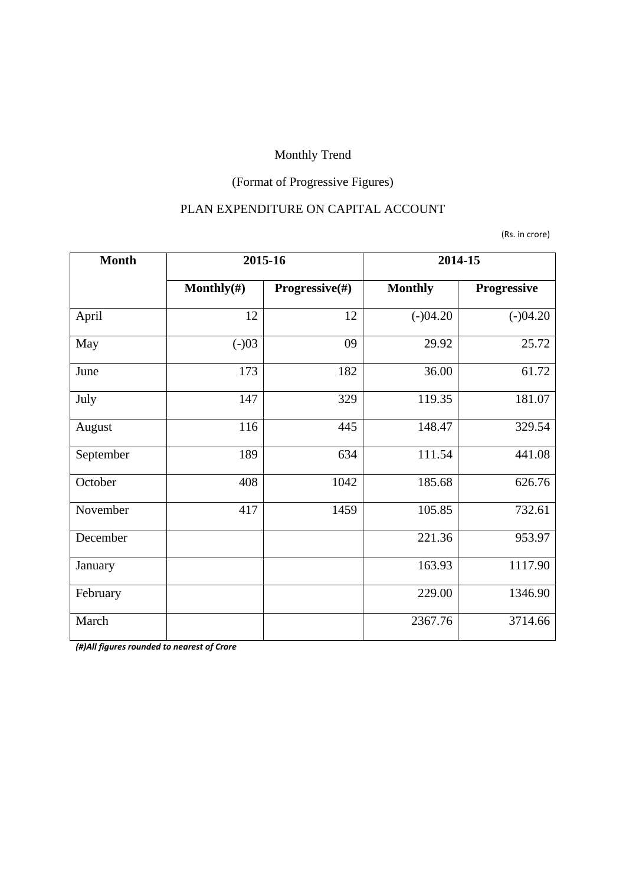# (Format of Progressive Figures)

#### PLAN EXPENDITURE ON CAPITAL ACCOUNT

(Rs. in crore)

| <b>Month</b> | 2015-16        |                | 2014-15        |             |
|--------------|----------------|----------------|----------------|-------------|
|              | Monthly $(\#)$ | Progressive(#) | <b>Monthly</b> | Progressive |
| April        | 12             | 12             | $(-)04.20$     | $(-)04.20$  |
| May          | $(-)03$        | 09             | 29.92          | 25.72       |
| June         | 173            | 182            | 36.00          | 61.72       |
| July         | 147            | 329            | 119.35         | 181.07      |
| August       | 116            | 445            | 148.47         | 329.54      |
| September    | 189            | 634            | 111.54         | 441.08      |
| October      | 408            | 1042           | 185.68         | 626.76      |
| November     | 417            | 1459           | 105.85         | 732.61      |
| December     |                |                | 221.36         | 953.97      |
| January      |                |                | 163.93         | 1117.90     |
| February     |                |                | 229.00         | 1346.90     |
| March        |                |                | 2367.76        | 3714.66     |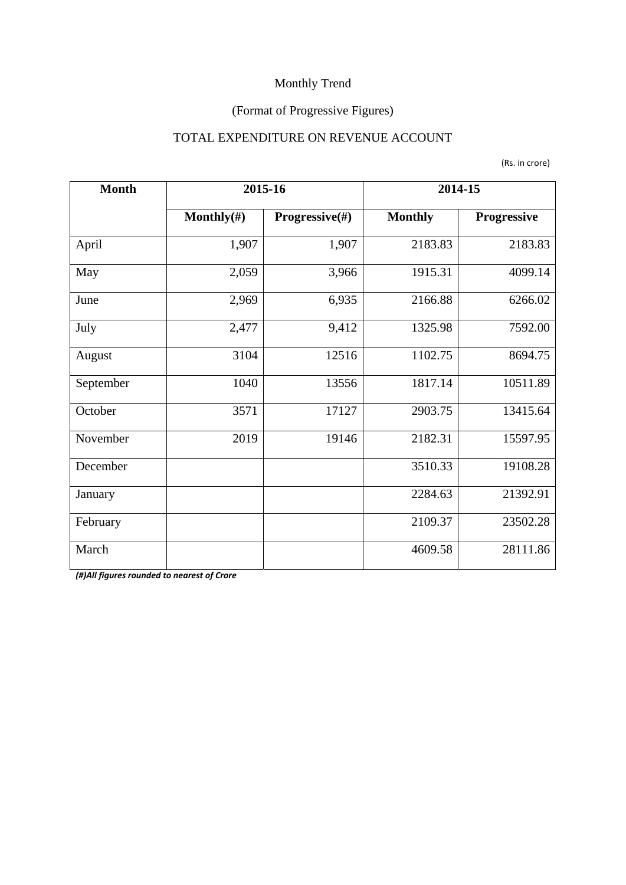## (Format of Progressive Figures)

#### TOTAL EXPENDITURE ON REVENUE ACCOUNT

|  |  | (Rs. in crore) |
|--|--|----------------|
|--|--|----------------|

| <b>Month</b> | 2015-16        |                | 2014-15        |             |  |
|--------------|----------------|----------------|----------------|-------------|--|
|              | Monthly $(\#)$ | Progressive(#) | <b>Monthly</b> | Progressive |  |
| April        | 1,907          | 1,907          | 2183.83        | 2183.83     |  |
| May          | 2,059          |                | 1915.31        | 4099.14     |  |
| June         | 2,969          | 6,935          | 2166.88        | 6266.02     |  |
| July         | 2,477          | 9,412          | 1325.98        | 7592.00     |  |
| August       | 3104           | 12516          | 1102.75        | 8694.75     |  |
| September    | 1040           | 13556          | 1817.14        | 10511.89    |  |
| October      | 3571           | 17127          | 2903.75        | 13415.64    |  |
| November     | 2019           | 19146          | 2182.31        | 15597.95    |  |
| December     |                |                | 3510.33        | 19108.28    |  |
| January      |                |                | 2284.63        | 21392.91    |  |
| February     |                |                | 2109.37        | 23502.28    |  |
| March        |                |                | 4609.58        | 28111.86    |  |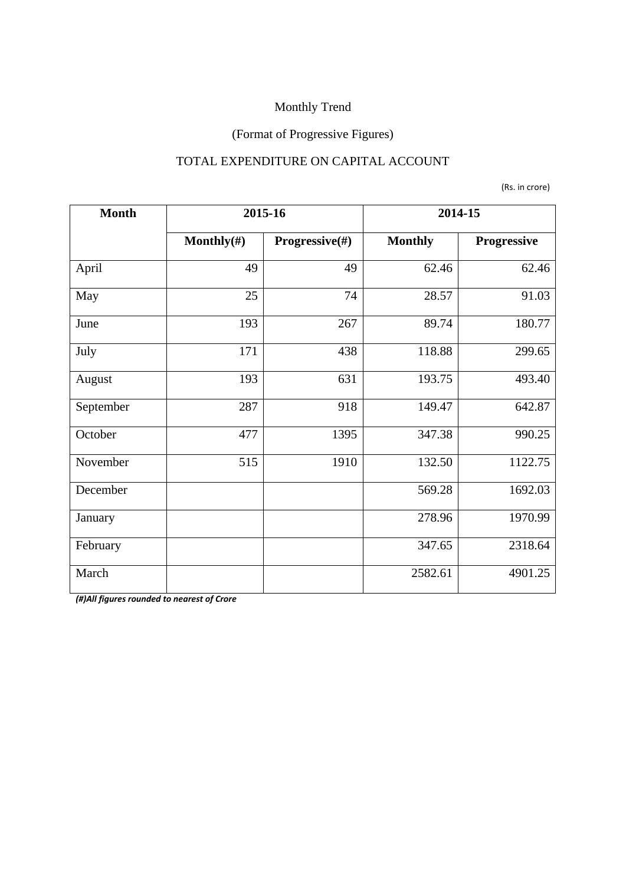## (Format of Progressive Figures)

#### TOTAL EXPENDITURE ON CAPITAL ACCOUNT

(Rs. in crore)

| <b>Month</b> | 2015-16        |                | 2014-15        |             |  |
|--------------|----------------|----------------|----------------|-------------|--|
|              | Monthly $(\#)$ | Progressive(#) | <b>Monthly</b> | Progressive |  |
| April        | 49             | 49             | 62.46          | 62.46       |  |
| May          | 25             | 74             | 28.57          | 91.03       |  |
| June         | 193            | 267            | 89.74          | 180.77      |  |
| July         | 171            | 438            | 118.88         | 299.65      |  |
| August       | 193            | 631            | 193.75         | 493.40      |  |
| September    | 287            | 918            | 149.47         | 642.87      |  |
| October      | 477            | 1395           | 347.38         | 990.25      |  |
| November     | 515            | 1910           | 132.50         | 1122.75     |  |
| December     |                |                | 569.28         | 1692.03     |  |
| January      |                |                | 278.96         | 1970.99     |  |
| February     |                |                | 347.65         | 2318.64     |  |
| March        |                |                | 2582.61        | 4901.25     |  |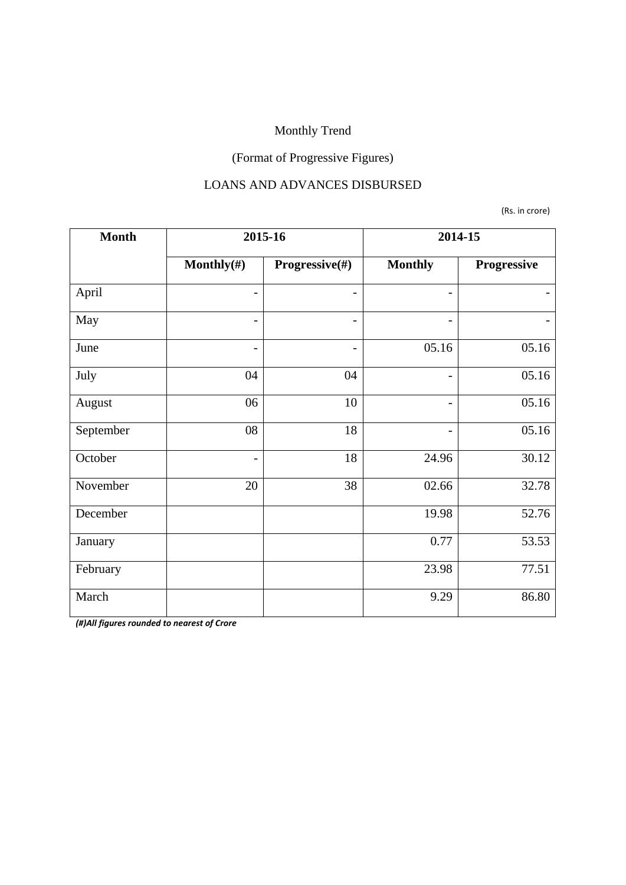## (Format of Progressive Figures)

#### LOANS AND ADVANCES DISBURSED

(Rs. in crore)

| <b>Month</b> | 2015-16                  |                          | 2014-15                  |             |  |
|--------------|--------------------------|--------------------------|--------------------------|-------------|--|
|              | Monthly $(\#)$           | Progressive(#)           | <b>Monthly</b>           | Progressive |  |
| April        | $\qquad \qquad -$        |                          | $\overline{\phantom{0}}$ |             |  |
| May          | $\overline{\phantom{a}}$ | $\overline{\phantom{a}}$ | $\overline{\phantom{0}}$ |             |  |
| June         | $\qquad \qquad -$        |                          | 05.16                    | 05.16       |  |
| July         | 04                       | 04                       | $\overline{\phantom{0}}$ | 05.16       |  |
| August       | 06                       | 10                       | $\overline{\phantom{a}}$ | 05.16       |  |
| September    | 08                       | 18                       | -                        | 05.16       |  |
| October      | $\overline{\phantom{a}}$ | 18                       | 24.96                    | 30.12       |  |
| November     | 20                       | 38                       | 02.66                    | 32.78       |  |
| December     |                          |                          | 19.98                    | 52.76       |  |
| January      |                          |                          | 0.77                     | 53.53       |  |
| February     |                          |                          | 23.98                    | 77.51       |  |
| March        |                          |                          | 9.29                     | 86.80       |  |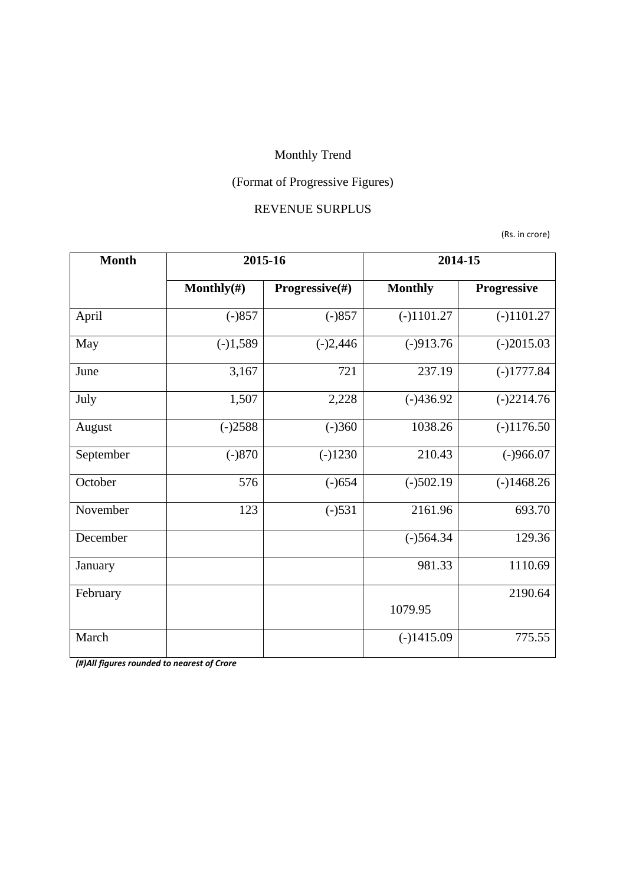## (Format of Progressive Figures)

#### REVENUE SURPLUS

(Rs. in crore)

| <b>Month</b> | 2015-16        |                | 2014-15        |              |  |
|--------------|----------------|----------------|----------------|--------------|--|
|              | Monthly $(\#)$ | Progressive(#) | <b>Monthly</b> | Progressive  |  |
| April        | $(-)857$       | $(-)857$       | $(-)1101.27$   | $(-)1101.27$ |  |
| May          | $(-)1,589$     | $(-)2,446$     | $(-)913.76$    | $(-)2015.03$ |  |
| June         | 3,167          | 721            | 237.19         | $(-)1777.84$ |  |
| July         | 1,507          | 2,228          | $(-)436.92$    | $(-)2214.76$ |  |
| August       | $(-)2588$      | $(-)360$       | 1038.26        | $(-)1176.50$ |  |
| September    | $(-)870$       | $(-)1230$      | 210.43         | $(-)966.07$  |  |
| October      | 576            | $(-)654$       | $(-)502.19$    | $(-)1468.26$ |  |
| November     | 123            | $(-)531$       | 2161.96        | 693.70       |  |
| December     |                |                | $(-)564.34$    | 129.36       |  |
| January      |                |                | 981.33         | 1110.69      |  |
| February     |                |                |                | 2190.64      |  |
|              |                |                | 1079.95        |              |  |
| March        |                |                | $(-)1415.09$   | 775.55       |  |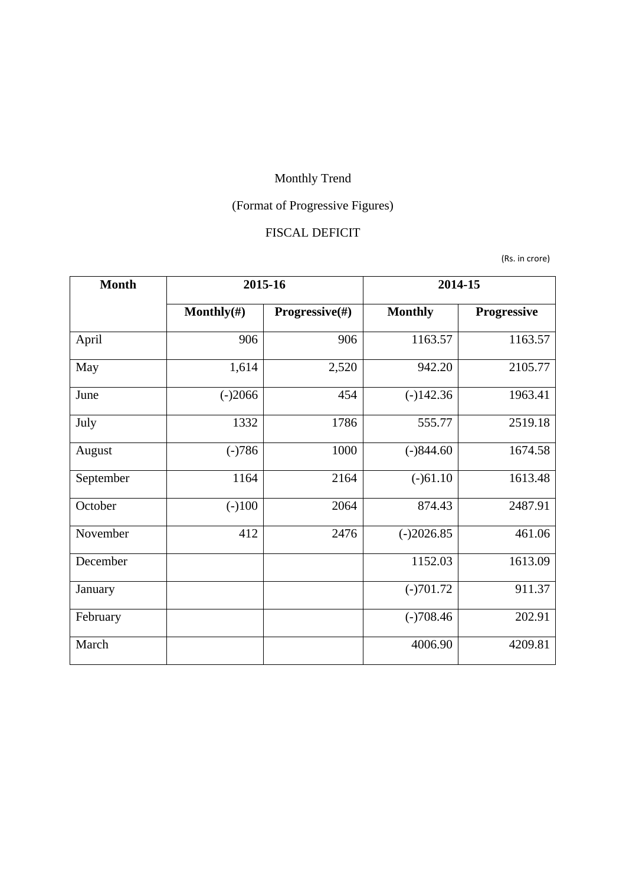# (Format of Progressive Figures)

#### FISCAL DEFICIT

(Rs. in crore)

| <b>Month</b> | 2015-16        |                | 2014-15        |                    |  |
|--------------|----------------|----------------|----------------|--------------------|--|
|              | Monthly $(\#)$ | Progressive(#) | <b>Monthly</b> | <b>Progressive</b> |  |
| April        | 906            | 906            | 1163.57        | 1163.57            |  |
| May          | 1,614          | 2,520          | 942.20         | 2105.77            |  |
| June         | $(-)2066$      | 454            | $(-)142.36$    | 1963.41            |  |
| July         | 1332           | 1786           | 555.77         | 2519.18            |  |
| August       | $(-)786$       | 1000           | $(-)844.60$    | 1674.58            |  |
| September    | 1164           | 2164           | $(-)61.10$     | 1613.48            |  |
| October      | $(-100)$       | 2064           | 874.43         | 2487.91            |  |
| November     | 412            | 2476           | $(-)2026.85$   | 461.06             |  |
| December     |                |                | 1152.03        | 1613.09            |  |
| January      |                |                | $(-)701.72$    | 911.37             |  |
| February     |                |                | $(-)708.46$    | 202.91             |  |
| March        |                |                | 4006.90        | 4209.81            |  |